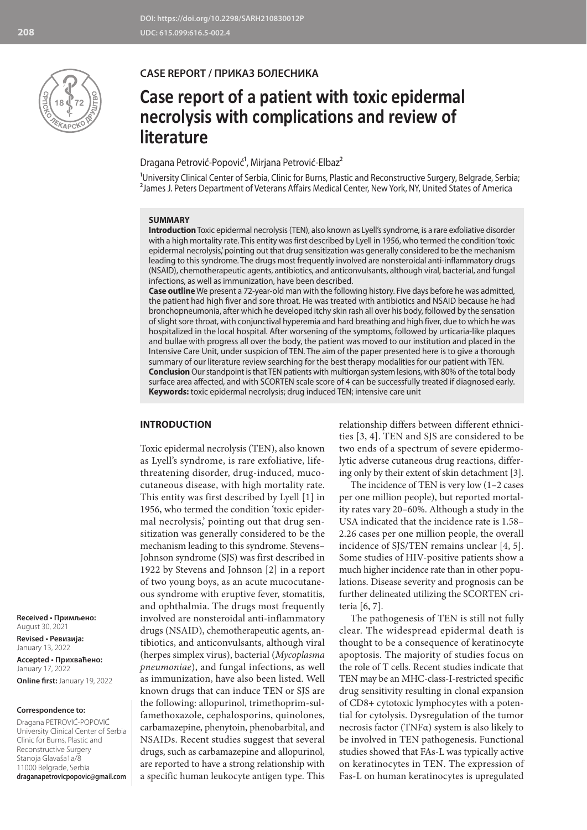

## **CASE REPORT / ПРИКАЗ БОЛЕСНИКА**

# **Case report of a patient with toxic epidermal necrolysis with complications and review of literature**

# Dragana Petrović-Popović<sup>1</sup>, Mirjana Petrović-Elbaz<sup>2</sup>

<sup>1</sup>University Clinical Center of Serbia, Clinic for Burns, Plastic and Reconstructive Surgery, Belgrade, Serbia; <sup>2</sup> James J. Peters Department of Veterans Affairs Medical Center, New York, NY, United States of America

#### **SUMMARY**

**Introduction** Toxic epidermal necrolysis (TEN), also known as Lyell's syndrome, is a rare exfoliative disorder with a high mortality rate. This entity was first described by Lyell in 1956, who termed the condition 'toxic epidermal necrolysis,' pointing out that drug sensitization was generally considered to be the mechanism leading to this syndrome. The drugs most frequently involved are nonsteroidal anti-inflammatory drugs (NSAID), chemotherapeutic agents, antibiotics, and anticonvulsants, although viral, bacterial, and fungal infections, as well as immunization, have been described.

**Case outline** We present a 72-year-old man with the following history. Five days before he was admitted, the patient had high fiver and sore throat. He was treated with antibiotics and NSAID because he had bronchopneumonia, after which he developed itchy skin rash all over his body, followed by the sensation of slight sore throat, with conjunctival hyperemia and hard breathing and high fiver, due to which he was hospitalized in the local hospital. After worsening of the symptoms, followed by urticaria-like plaques and bullae with progress all over the body, the patient was moved to our institution and placed in the Intensive Care Unit, under suspicion of TEN. The aim of the paper presented here is to give a thorough summary of our literature review searching for the best therapy modalities for our patient with TEN. **Conclusion** Our standpoint is that TEN patients with multiorgan system lesions, with 80% of the total body surface area affected, and with SCORTEN scale score of 4 can be successfully treated if diagnosed early. **Keywords:** toxic epidermal necrolysis; drug induced TEN; intensive care unit

### **INTRODUCTION**

Toxic epidermal necrolysis (TEN), also known as Lyell's syndrome, is rare exfoliative, lifethreatening disorder, drug-induced, mucocutaneous disease, with high mortality rate. This entity was first described by Lyell [1] in 1956, who termed the condition 'toxic epidermal necrolysis,' pointing out that drug sensitization was generally considered to be the mechanism leading to this syndrome. Stevens– Johnson syndrome (SJS) was first described in 1922 by Stevens and Johnson [2] in a report of two young boys, as an acute mucocutaneous syndrome with eruptive fever, stomatitis, and ophthalmia. The drugs most frequently involved are nonsteroidal anti-inflammatory drugs (NSAID), chemotherapeutic agents, antibiotics, and anticonvulsants, although viral (herpes simplex virus), bacterial (*Mycoplasma pneumoniae*), and fungal infections, as well as immunization, have also been listed. Well known drugs that can induce TEN or SJS are the following: allopurinol, trimethoprim-sulfamethoxazole, cephalosporins, quinolones, carbamazepine, phenytoin, phenobarbital, and NSAIDs. Recent studies suggest that several drugs, such as carbamazepine and allopurinol, are reported to have a strong relationship with a specific human leukocyte antigen type. This

relationship differs between different ethnicities [3, 4]. TEN and SJS are considered to be two ends of a spectrum of severe epidermolytic adverse cutaneous drug reactions, differing only by their extent of skin detachment [3].

The incidence of TEN is very low (1–2 cases per one million people), but reported mortality rates vary 20–60%. Although a study in the USA indicated that the incidence rate is 1.58– 2.26 cases per one million people, the overall incidence of SJS/TEN remains unclear [4, 5]. Some studies of HIV-positive patients show a much higher incidence rate than in other populations. Disease severity and prognosis can be further delineated utilizing the SCORTEN criteria [6, 7].

The pathogenesis of TEN is still not fully clear. The widespread epidermal death is thought to be a consequence of keratinocyte apoptosis. The majority of studies focus on the role of T cells. Recent studies indicate that TEN may be an MHC-class-I-restricted specific drug sensitivity resulting in clonal expansion of CD8+ cytotoxic lymphocytes with a potential for cytolysis. Dysregulation of the tumor necrosis factor (TNFα) system is also likely to be involved in TEN pathogenesis. Functional studies showed that FAs-L was typically active on keratinocytes in TEN. The expression of Fas-L on human keratinocytes is upregulated

**Received • Примљено:**  August 30, 2021

**Revised • Ревизија:**  January 13, 2022 **Accepted • Прихваћено:** January 17, 2022 **Online first:** January 19, 2022

#### **Correspondence to:**

Dragana PETROVIĆ-POPOVIĆ University Clinical Center of Serbia Clinic for Burns, Plastic and Reconstructive Surgery Stanoja Glavaša1a/8 11000 Belgrade, Serbia **draganapetrovicpopovic@gmail.com**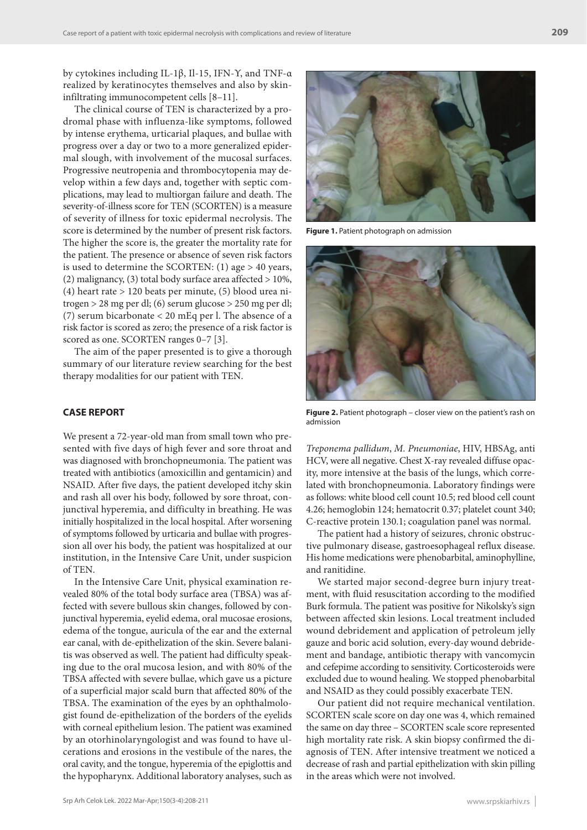by cytokines including IL-1β, Il-15, IFN-Υ, and TNF-α realized by keratinocytes themselves and also by skininfiltrating immunocompetent cells [8–11].

The clinical course of TEN is characterized by a prodromal phase with influenza-like symptoms, followed by intense erythema, urticarial plaques, and bullae with progress over a day or two to a more generalized epidermal slough, with involvement of the mucosal surfaces. Progressive neutropenia and thrombocytopenia may develop within a few days and, together with septic complications, may lead to multiorgan failure and death. The severity-of-illness score for TEN (SCORTEN) is a measure of severity of illness for toxic epidermal necrolysis. The score is determined by the number of present risk factors. The higher the score is, the greater the mortality rate for the patient. The presence or absence of seven risk factors is used to determine the SCORTEN: (1) age > 40 years, (2) malignancy, (3) total body surface area affected  $> 10\%$ , (4) heart rate > 120 beats per minute, (5) blood urea nitrogen > 28 mg per dl; (6) serum glucose > 250 mg per dl; (7) serum bicarbonate < 20 mEq per l. The absence of a risk factor is scored as zero; the presence of a risk factor is scored as one. SCORTEN ranges 0-7 [3].

The aim of the paper presented is to give a thorough summary of our literature review searching for the best therapy modalities for our patient with TEN.

#### **CASE REPORT**

We present a 72-year-old man from small town who presented with five days of high fever and sore throat and was diagnosed with bronchopneumonia. The patient was treated with antibiotics (amoxicillin and gentamicin) and NSAID. After five days, the patient developed itchy skin and rash all over his body, followed by sore throat, conjunctival hyperemia, and difficulty in breathing. He was initially hospitalized in the local hospital. After worsening of symptoms followed by urticaria and bullae with progression all over his body, the patient was hospitalized at our institution, in the Intensive Care Unit, under suspicion of TEN.

In the Intensive Care Unit, physical examination revealed 80% of the total body surface area (TBSA) was affected with severe bullous skin changes, followed by conjunctival hyperemia, eyelid edema, oral mucosae erosions, edema of the tongue, auricula of the ear and the external ear canal, with de-epithelization of the skin. Severe balanitis was observed as well. The patient had difficulty speaking due to the oral mucosa lesion, and with 80% of the TBSA affected with severe bullae, which gave us a picture of a superficial major scald burn that affected 80% of the TBSA. The examination of the eyes by an ophthalmologist found de-epithelization of the borders of the eyelids with corneal epithelium lesion. The patient was examined by an otorhinolaryngologist and was found to have ulcerations and erosions in the vestibule of the nares, the oral cavity, and the tongue, hyperemia of the epiglottis and the hypopharynx. Additional laboratory analyses, such as



**Figure 1.** Patient photograph on admission



Figure 2. Patient photograph – closer view on the patient's rash on admission

*Treponema pallidum*, *M. Pneumoniae*, HIV, HBSAg, anti HCV, were all negative. Chest X-ray revealed diffuse opacity, more intensive at the basis of the lungs, which correlated with bronchopneumonia. Laboratory findings were as follows: white blood cell count 10.5; red blood cell count 4.26; hemoglobin 124; hematocrit 0.37; platelet count 340; C-reactive protein 130.1; coagulation panel was normal.

The patient had a history of seizures, chronic obstructive pulmonary disease, gastroesophageal reflux disease. His home medications were phenobarbital, aminophylline, and ranitidine.

We started major second-degree burn injury treatment, with fluid resuscitation according to the modified Burk formula. The patient was positive for Nikolsky's sign between affected skin lesions. Local treatment included wound debridement and application of petroleum jelly gauze and boric acid solution, every-day wound debridement and bandage, antibiotic therapy with vancomycin and cefepime according to sensitivity. Corticosteroids were excluded due to wound healing. We stopped phenobarbital and NSAID as they could possibly exacerbate TEN.

Our patient did not require mechanical ventilation. SCORTEN scale score on day one was 4, which remained the same on day three – SCORTEN scale score represented high mortality rate risk. A skin biopsy confirmed the diagnosis of TEN. After intensive treatment we noticed a decrease of rash and partial epithelization with skin pilling in the areas which were not involved.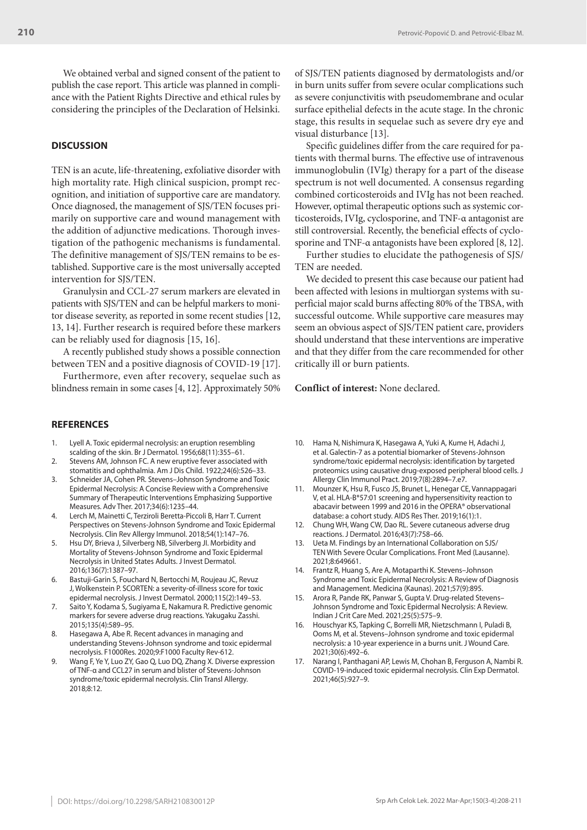We obtained verbal and signed consent of the patient to publish the case report. This article was planned in compliance with the Patient Rights Directive and ethical rules by considering the principles of the Declaration of Helsinki.

#### **DISCUSSION**

TEN is an acute, life-threatening, exfoliative disorder with high mortality rate. High clinical suspicion, prompt recognition, and initiation of supportive care are mandatory. Once diagnosed, the management of SJS/TEN focuses primarily on supportive care and wound management with the addition of adjunctive medications. Thorough investigation of the pathogenic mechanisms is fundamental. The definitive management of SJS/TEN remains to be established. Supportive care is the most universally accepted intervention for SJS/TEN.

Granulysin and CCL-27 serum markers are elevated in patients with SJS/TEN and can be helpful markers to monitor disease severity, as reported in some recent studies [12, 13, 14]. Further research is required before these markers can be reliably used for diagnosis [15, 16].

A recently published study shows a possible connection between TEN and a positive diagnosis of COVID‐19 [17].

Furthermore, even after recovery, sequelae such as blindness remain in some cases [4, 12]. Approximately 50%

#### **REFERENCES**

- 1. Lyell A. Toxic epidermal necrolysis: an eruption resembling scalding of the skin. Br J Dermatol. 1956;68(11):355–61.
- 2. Stevens AM, Johnson FC. A new eruptive fever associated with stomatitis and ophthalmia. Am J Dis Child. 1922;24(6):526–33.
- 3. Schneider JA, Cohen PR. Stevens–Johnson Syndrome and Toxic Epidermal Necrolysis: A Concise Review with a Comprehensive Summary of Therapeutic Interventions Emphasizing Supportive Measures. Adv Ther. 2017;34(6):1235–44.
- 4. Lerch M, Mainetti C, Terziroli Beretta-Piccoli B, Harr T. Current Perspectives on Stevens-Johnson Syndrome and Toxic Epidermal Necrolysis. Clin Rev Allergy Immunol. 2018;54(1):147–76.
- 5. Hsu DY, Brieva J, Silverberg NB, Silverberg JI. Morbidity and Mortality of Stevens-Johnson Syndrome and Toxic Epidermal Necrolysis in United States Adults. J Invest Dermatol. 2016;136(7):1387–97.
- 6. Bastuji-Garin S, Fouchard N, Bertocchi M, Roujeau JC, Revuz J, Wolkenstein P. SCORTEN: a severity-of-illness score for toxic epidermal necrolysis. J Invest Dermatol. 2000;115(2):149–53.
- 7. Saito Y, Kodama S, Sugiyama E, Nakamura R. Predictive genomic markers for severe adverse drug reactions. Yakugaku Zasshi. 2015;135(4):589–95.
- 8. Hasegawa A, Abe R. Recent advances in managing and understanding Stevens-Johnson syndrome and toxic epidermal necrolysis. F1000Res. 2020;9:F1000 Faculty Rev-612.
- Wang F, Ye Y, Luo ZY, Gao Q, Luo DQ, Zhang X. Diverse expression of TNF-α and CCL27 in serum and blister of Stevens-Johnson syndrome/toxic epidermal necrolysis. Clin Transl Allergy. 2018;8:12.

of SJS/TEN patients diagnosed by dermatologists and/or in burn units suffer from severe ocular complications such as severe conjunctivitis with pseudomembrane and ocular surface epithelial defects in the acute stage. In the chronic stage, this results in sequelae such as severe dry eye and visual disturbance [13].

Specific guidelines differ from the care required for patients with thermal burns. The effective use of intravenous immunoglobulin (IVIg) therapy for a part of the disease spectrum is not well documented. A consensus regarding combined corticosteroids and IVIg has not been reached. However, optimal therapeutic options such as systemic corticosteroids, IVIg, cyclosporine, and TNF-α antagonist are still controversial. Recently, the beneficial effects of cyclosporine and TNF-α antagonists have been explored [8, 12].

Further studies to elucidate the pathogenesis of SJS/ TEN are needed.

We decided to present this case because our patient had been affected with lesions in multiorgan systems with superficial major scald burns affecting 80% of the TBSA, with successful outcome. While supportive care measures may seem an obvious aspect of SJS/TEN patient care, providers should understand that these interventions are imperative and that they differ from the care recommended for other critically ill or burn patients.

#### **Conflict of interest:** None declared.

- 10. Hama N, Nishimura K, Hasegawa A, Yuki A, Kume H, Adachi J, et al. Galectin-7 as a potential biomarker of Stevens-Johnson syndrome/toxic epidermal necrolysis: identification by targeted proteomics using causative drug-exposed peripheral blood cells. J Allergy Clin Immunol Pract. 2019;7(8):2894–7.e7.
- 11. Mounzer K, Hsu R, Fusco JS, Brunet L, Henegar CE, Vannappagari V, et al. HLA-B\*57:01 screening and hypersensitivity reaction to abacavir between 1999 and 2016 in the OPERA® observational database: a cohort study. AIDS Res Ther. 2019;16(1):1.
- 12. Chung WH, Wang CW, Dao RL. Severe cutaneous adverse drug reactions. J Dermatol. 2016;43(7):758–66.
- 13. Ueta M. Findings by an International Collaboration on SJS/ TEN With Severe Ocular Complications. Front Med (Lausanne). 2021;8:649661.
- 14. Frantz R, Huang S, Are A, Motaparthi K. Stevens–Johnson Syndrome and Toxic Epidermal Necrolysis: A Review of Diagnosis and Management. Medicina (Kaunas). 2021;57(9):895.
- 15. Arora R, Pande RK, Panwar S, Gupta V. Drug-related Stevens– Johnson Syndrome and Toxic Epidermal Necrolysis: A Review. Indian J Crit Care Med. 2021;25(5):575–9.
- 16. Houschyar KS, Tapking C, Borrelli MR, Nietzschmann I, Puladi B, Ooms M, et al. Stevens–Johnson syndrome and toxic epidermal necrolysis: a 10-year experience in a burns unit. J Wound Care. 2021;30(6):492–6.
- 17. Narang I, Panthagani AP, Lewis M, Chohan B, Ferguson A, Nambi R. COVID-19-induced toxic epidermal necrolysis. Clin Exp Dermatol. 2021;46(5):927–9.